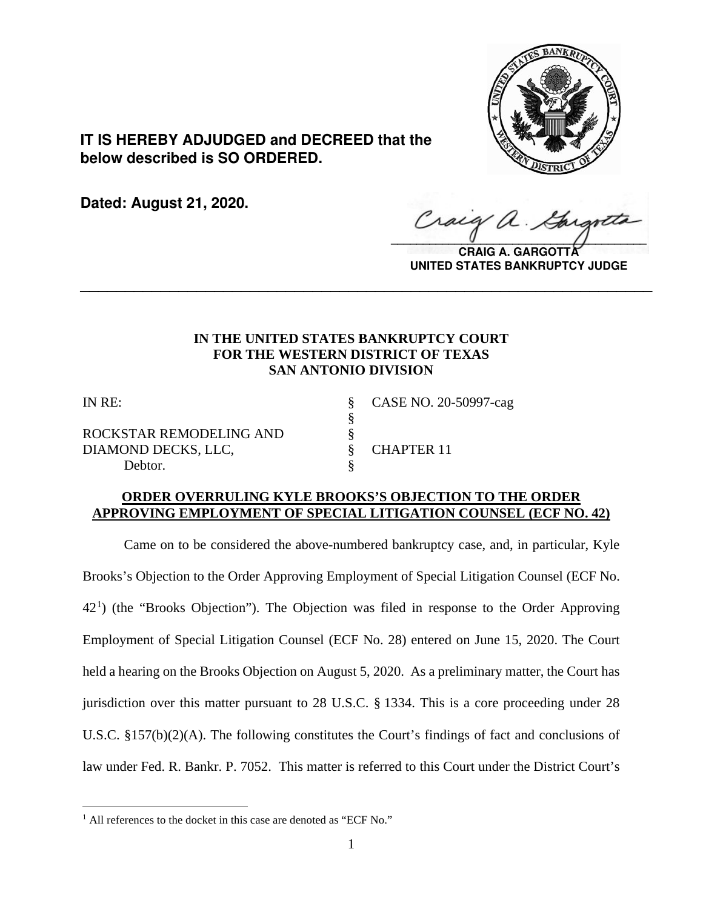

**IT IS HEREBY ADJUDGED and DECREED that the below described is SO ORDERED.**

**Dated: August 21, 2020.**

 $\sqrt{2}$ 

**CRAIG A. GARGOTTA UNITED STATES BANKRUPTCY JUDGE**

# **IN THE UNITED STATES BANKRUPTCY COURT FOR THE WESTERN DISTRICT OF TEXAS SAN ANTONIO DIVISION**

**\_\_\_\_\_\_\_\_\_\_\_\_\_\_\_\_\_\_\_\_\_\_\_\_\_\_\_\_\_\_\_\_\_\_\_\_\_\_\_\_\_\_\_\_\_\_\_\_\_\_\_\_\_\_\_\_\_\_\_\_\_\_\_\_**

§

ROCKSTAR REMODELING AND § DIAMOND DECKS, LLC,  $\S$  CHAPTER 11 Debtor.

IN RE: § CASE NO. 20-50997-cag

# **ORDER OVERRULING KYLE BROOKS'S OBJECTION TO THE ORDER APPROVING EMPLOYMENT OF SPECIAL LITIGATION COUNSEL (ECF NO. 42)**

Came on to be considered the above-numbered bankruptcy case, and, in particular, Kyle Brooks's Objection to the Order Approving Employment of Special Litigation Counsel (ECF No.  $42<sup>1</sup>$  $42<sup>1</sup>$  $42<sup>1</sup>$ ) (the "Brooks Objection"). The Objection was filed in response to the Order Approving Employment of Special Litigation Counsel (ECF No. 28) entered on June 15, 2020. The Court held a hearing on the Brooks Objection on August 5, 2020. As a preliminary matter, the Court has jurisdiction over this matter pursuant to 28 U.S.C. § 1334. This is a core proceeding under 28 U.S.C. §157(b)(2)(A). The following constitutes the Court's findings of fact and conclusions of law under Fed. R. Bankr. P. 7052. This matter is referred to this Court under the District Court's

<span id="page-0-0"></span><sup>&</sup>lt;sup>1</sup> All references to the docket in this case are denoted as "ECF No."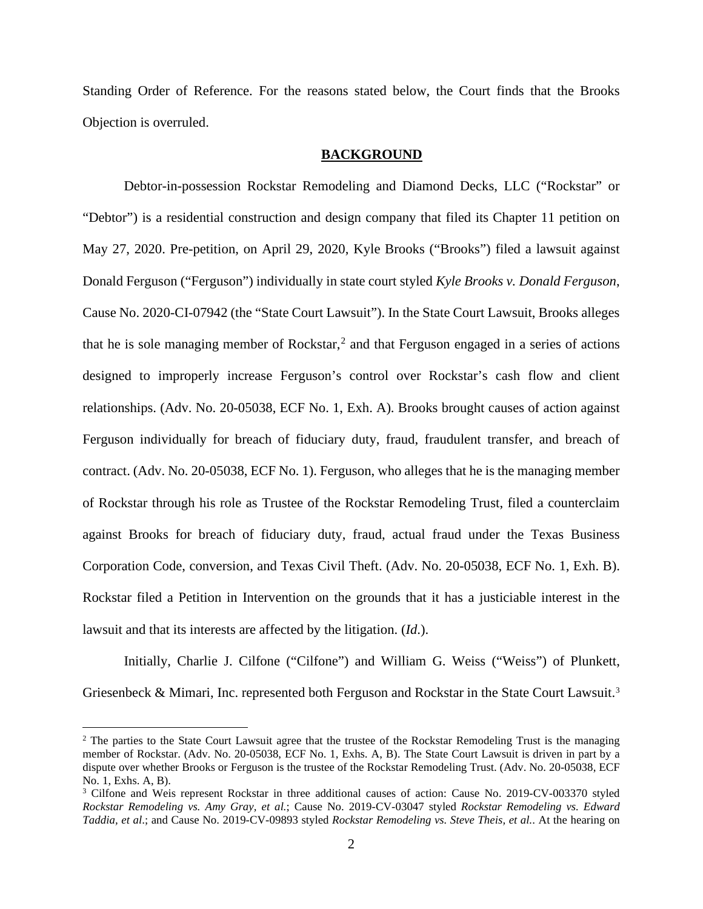Standing Order of Reference. For the reasons stated below, the Court finds that the Brooks Objection is overruled.

### **BACKGROUND**

Debtor-in-possession Rockstar Remodeling and Diamond Decks, LLC ("Rockstar" or "Debtor") is a residential construction and design company that filed its Chapter 11 petition on May 27, 2020. Pre-petition, on April 29, 2020, Kyle Brooks ("Brooks") filed a lawsuit against Donald Ferguson ("Ferguson") individually in state court styled *Kyle Brooks v. Donald Ferguson*, Cause No. 2020-CI-07942 (the "State Court Lawsuit"). In the State Court Lawsuit, Brooks alleges that he is sole managing member of Rockstar,<sup>[2](#page-1-0)</sup> and that Ferguson engaged in a series of actions designed to improperly increase Ferguson's control over Rockstar's cash flow and client relationships. (Adv. No. 20-05038, ECF No. 1, Exh. A). Brooks brought causes of action against Ferguson individually for breach of fiduciary duty, fraud, fraudulent transfer, and breach of contract. (Adv. No. 20-05038, ECF No. 1). Ferguson, who alleges that he is the managing member of Rockstar through his role as Trustee of the Rockstar Remodeling Trust, filed a counterclaim against Brooks for breach of fiduciary duty, fraud, actual fraud under the Texas Business Corporation Code, conversion, and Texas Civil Theft. (Adv. No. 20-05038, ECF No. 1, Exh. B). Rockstar filed a Petition in Intervention on the grounds that it has a justiciable interest in the lawsuit and that its interests are affected by the litigation. (*Id*.).

Initially, Charlie J. Cilfone ("Cilfone") and William G. Weiss ("Weiss") of Plunkett, Griesenbeck & Mimari, Inc. represented both Ferguson and Rockstar in the State Court Lawsuit.<sup>[3](#page-1-1)</sup>

<span id="page-1-0"></span><sup>&</sup>lt;sup>2</sup> The parties to the State Court Lawsuit agree that the trustee of the Rockstar Remodeling Trust is the managing member of Rockstar. (Adv. No. 20-05038, ECF No. 1, Exhs. A, B). The State Court Lawsuit is driven in part by a dispute over whether Brooks or Ferguson is the trustee of the Rockstar Remodeling Trust. (Adv. No. 20-05038, ECF No. 1, Exhs. A, B).<br><sup>3</sup> Cilfone and Weis represent Rockstar in three additional causes of action: Cause No. 2019-CV-003370 styled

<span id="page-1-1"></span>*Rockstar Remodeling vs. Amy Gray, et al.*; Cause No. 2019-CV-03047 styled *Rockstar Remodeling vs. Edward Taddia, et al*.; and Cause No. 2019-CV-09893 styled *Rockstar Remodeling vs. Steve Theis, et al.*. At the hearing on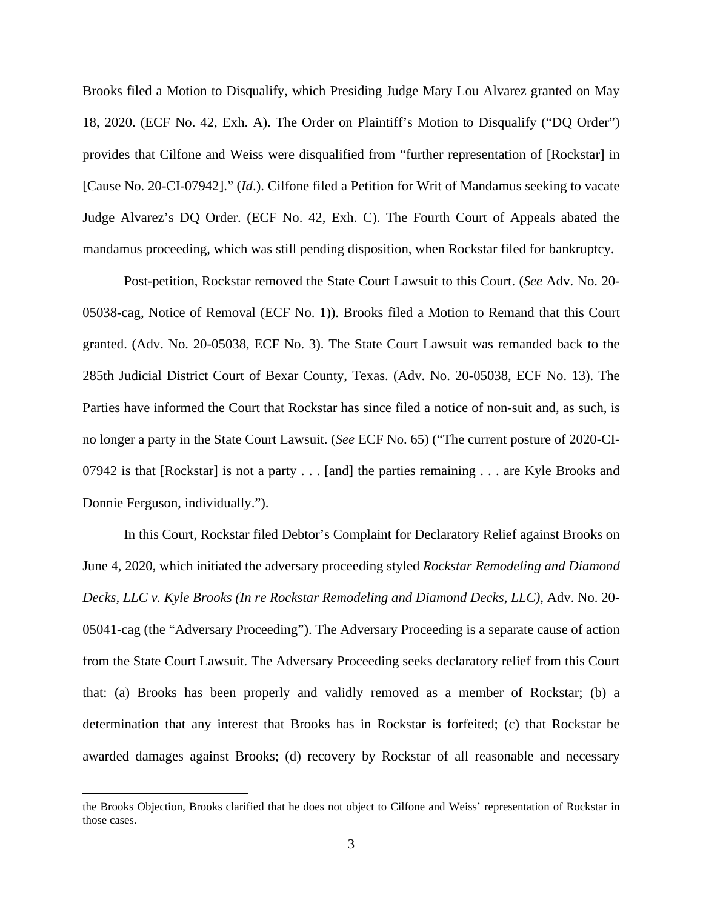Brooks filed a Motion to Disqualify, which Presiding Judge Mary Lou Alvarez granted on May 18, 2020. (ECF No. 42, Exh. A). The Order on Plaintiff's Motion to Disqualify ("DQ Order") provides that Cilfone and Weiss were disqualified from "further representation of [Rockstar] in [Cause No. 20-CI-07942]." (*Id*.). Cilfone filed a Petition for Writ of Mandamus seeking to vacate Judge Alvarez's DQ Order. (ECF No. 42, Exh. C). The Fourth Court of Appeals abated the mandamus proceeding, which was still pending disposition, when Rockstar filed for bankruptcy.

Post-petition, Rockstar removed the State Court Lawsuit to this Court. (*See* Adv. No. 20- 05038-cag, Notice of Removal (ECF No. 1)). Brooks filed a Motion to Remand that this Court granted. (Adv. No. 20-05038, ECF No. 3). The State Court Lawsuit was remanded back to the 285th Judicial District Court of Bexar County, Texas. (Adv. No. 20-05038, ECF No. 13). The Parties have informed the Court that Rockstar has since filed a notice of non-suit and, as such, is no longer a party in the State Court Lawsuit. (*See* ECF No. 65) ("The current posture of 2020-CI-07942 is that [Rockstar] is not a party . . . [and] the parties remaining . . . are Kyle Brooks and Donnie Ferguson, individually.").

In this Court, Rockstar filed Debtor's Complaint for Declaratory Relief against Brooks on June 4, 2020, which initiated the adversary proceeding styled *Rockstar Remodeling and Diamond Decks, LLC v. Kyle Brooks (In re Rockstar Remodeling and Diamond Decks, LLC)*, Adv. No. 20- 05041-cag (the "Adversary Proceeding"). The Adversary Proceeding is a separate cause of action from the State Court Lawsuit. The Adversary Proceeding seeks declaratory relief from this Court that: (a) Brooks has been properly and validly removed as a member of Rockstar; (b) a determination that any interest that Brooks has in Rockstar is forfeited; (c) that Rockstar be awarded damages against Brooks; (d) recovery by Rockstar of all reasonable and necessary

the Brooks Objection, Brooks clarified that he does not object to Cilfone and Weiss' representation of Rockstar in those cases.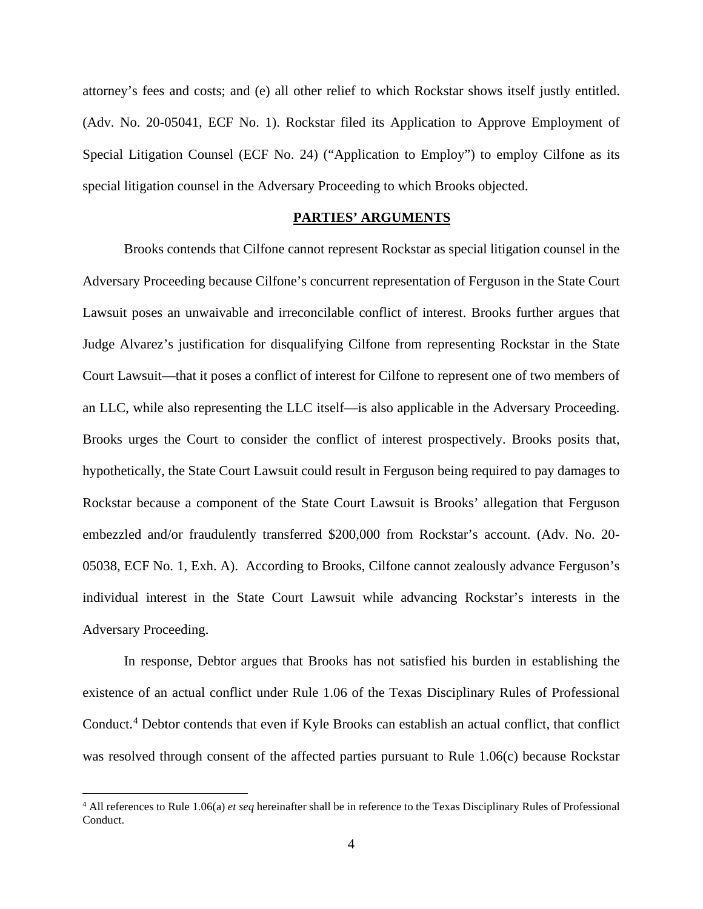attorney's fees and costs; and (e) all other relief to which Rockstar shows itself justly entitled. (Adv. No. 20-05041, ECF No. 1). Rockstar filed its Application to Approve Employment of Special Litigation Counsel (ECF No. 24) ("Application to Employ") to employ Cilfone as its special litigation counsel in the Adversary Proceeding to which Brooks objected.

## **PARTIES' ARGUMENTS**

Brooks contends that Cilfone cannot represent Rockstar as special litigation counsel in the Adversary Proceeding because Cilfone's concurrent representation of Ferguson in the State Court Lawsuit poses an unwaivable and irreconcilable conflict of interest. Brooks further argues that Judge Alvarez's justification for disqualifying Cilfone from representing Rockstar in the State Court Lawsuit—that it poses a conflict of interest for Cilfone to represent one of two members of an LLC, while also representing the LLC itself—is also applicable in the Adversary Proceeding. Brooks urges the Court to consider the conflict of interest prospectively. Brooks posits that, hypothetically, the State Court Lawsuit could result in Ferguson being required to pay damages to Rockstar because a component of the State Court Lawsuit is Brooks' allegation that Ferguson embezzled and/or fraudulently transferred \$200,000 from Rockstar's account. (Adv. No. 20- 05038, ECF No. 1, Exh. A). According to Brooks, Cilfone cannot zealously advance Ferguson's individual interest in the State Court Lawsuit while advancing Rockstar's interests in the Adversary Proceeding.

In response, Debtor argues that Brooks has not satisfied his burden in establishing the existence of an actual conflict under Rule 1.06 of the Texas Disciplinary Rules of Professional Conduct. [4](#page-3-0) Debtor contends that even if Kyle Brooks can establish an actual conflict, that conflict was resolved through consent of the affected parties pursuant to Rule 1.06(c) because Rockstar

<span id="page-3-0"></span><sup>4</sup> All references to Rule 1.06(a) *et seq* hereinafter shall be in reference to the Texas Disciplinary Rules of Professional Conduct.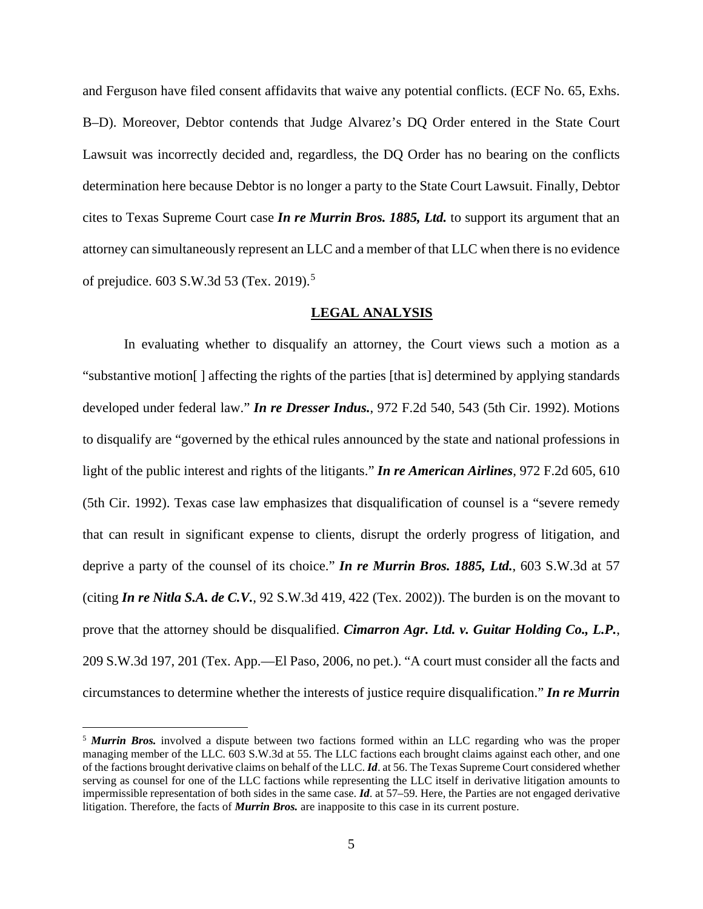and Ferguson have filed consent affidavits that waive any potential conflicts. (ECF No. 65, Exhs. B–D). Moreover, Debtor contends that Judge Alvarez's DQ Order entered in the State Court Lawsuit was incorrectly decided and, regardless, the DQ Order has no bearing on the conflicts determination here because Debtor is no longer a party to the State Court Lawsuit. Finally, Debtor cites to Texas Supreme Court case *In re Murrin Bros. 1885, Ltd.* to support its argument that an attorney can simultaneously represent an LLC and a member of that LLC when there is no evidence of prejudice. 603 S.W.3d 53 (Tex. 2019).[5](#page-4-0)

### **LEGAL ANALYSIS**

In evaluating whether to disqualify an attorney, the Court views such a motion as a "substantive motion[ ] affecting the rights of the parties [that is] determined by applying standards developed under federal law." *In re Dresser Indus.*, 972 F.2d 540, 543 (5th Cir. 1992). Motions to disqualify are "governed by the ethical rules announced by the state and national professions in light of the public interest and rights of the litigants." *In re American Airlines*, 972 F.2d 605, 610 (5th Cir. 1992). Texas case law emphasizes that disqualification of counsel is a "severe remedy that can result in significant expense to clients, disrupt the orderly progress of litigation, and deprive a party of the counsel of its choice." *In re Murrin Bros. 1885, Ltd.*, 603 S.W.3d at 57 (citing *In re Nitla S.A. de C.V.*, 92 S.W.3d 419, 422 (Tex. 2002)). The burden is on the movant to prove that the attorney should be disqualified. *Cimarron Agr. Ltd. v. Guitar Holding Co., L.P.*, 209 S.W.3d 197, 201 (Tex. App.—El Paso, 2006, no pet.). "A court must consider all the facts and circumstances to determine whether the interests of justice require disqualification." *In re Murrin* 

<span id="page-4-0"></span><sup>&</sup>lt;sup>5</sup> **Murrin Bros.** involved a dispute between two factions formed within an LLC regarding who was the proper managing member of the LLC. 603 S.W.3d at 55. The LLC factions each brought claims against each other, and one of the factions brought derivative claims on behalf of the LLC. *Id*. at 56. The Texas Supreme Court considered whether serving as counsel for one of the LLC factions while representing the LLC itself in derivative litigation amounts to impermissible representation of both sides in the same case. *Id*. at 57–59. Here, the Parties are not engaged derivative litigation. Therefore, the facts of *Murrin Bros.* are inapposite to this case in its current posture.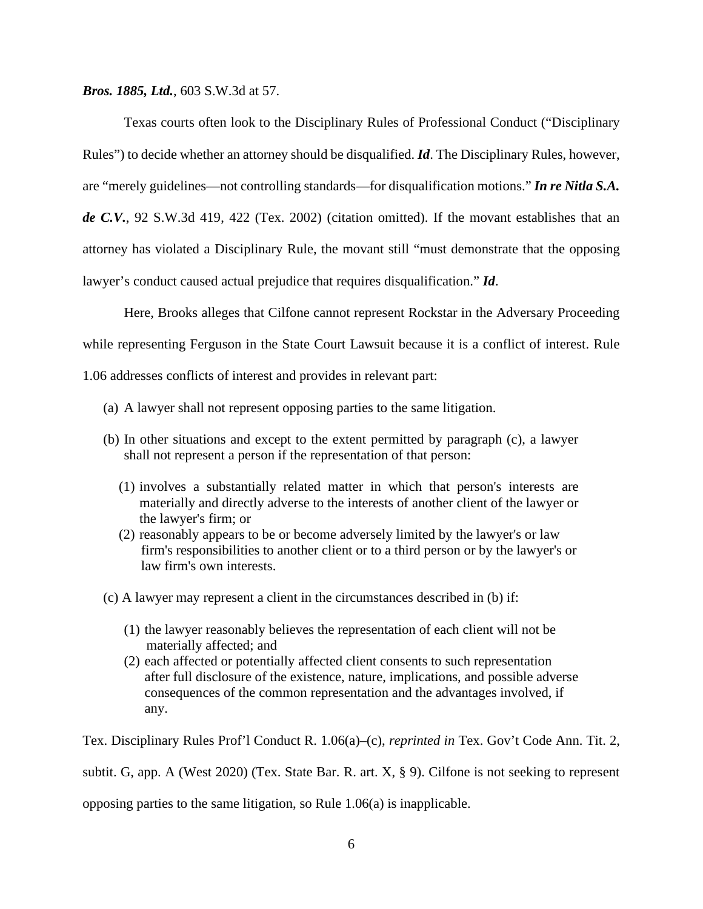*Bros. 1885, Ltd.*, 603 S.W.3d at 57.

Texas courts often look to the Disciplinary Rules of Professional Conduct ("Disciplinary Rules") to decide whether an attorney should be disqualified. *Id*. The Disciplinary Rules, however, are "merely guidelines—not controlling standards—for disqualification motions." *In re Nitla S.A. de C.V.*, 92 S.W.3d 419, 422 (Tex. 2002) (citation omitted). If the movant establishes that an attorney has violated a Disciplinary Rule, the movant still "must demonstrate that the opposing lawyer's conduct caused actual prejudice that requires disqualification." *Id*.

Here, Brooks alleges that Cilfone cannot represent Rockstar in the Adversary Proceeding while representing Ferguson in the State Court Lawsuit because it is a conflict of interest. Rule 1.06 addresses conflicts of interest and provides in relevant part:

- (a) A lawyer shall not represent opposing parties to the same litigation.
- (b) In other situations and except to the extent permitted by paragraph (c), a lawyer shall not represent a person if the representation of that person:
	- (1) involves a substantially related matter in which that person's interests are materially and directly adverse to the interests of another client of the lawyer or the lawyer's firm; or
	- (2) reasonably appears to be or become adversely limited by the lawyer's or law firm's responsibilities to another client or to a third person or by the lawyer's or law firm's own interests.

(c) A lawyer may represent a client in the circumstances described in (b) if:

- (1) the lawyer reasonably believes the representation of each client will not be materially affected; and
- (2) each affected or potentially affected client consents to such representation after full disclosure of the existence, nature, implications, and possible adverse consequences of the common representation and the advantages involved, if any.

Tex. Disciplinary Rules Prof'l Conduct R. 1.06(a)–(c), *reprinted in* Tex. Gov't Code Ann. Tit. 2,

subtit. G, app. A (West 2020) (Tex. State Bar. R. art. X, § 9). Cilfone is not seeking to represent

opposing parties to the same litigation, so Rule 1.06(a) is inapplicable.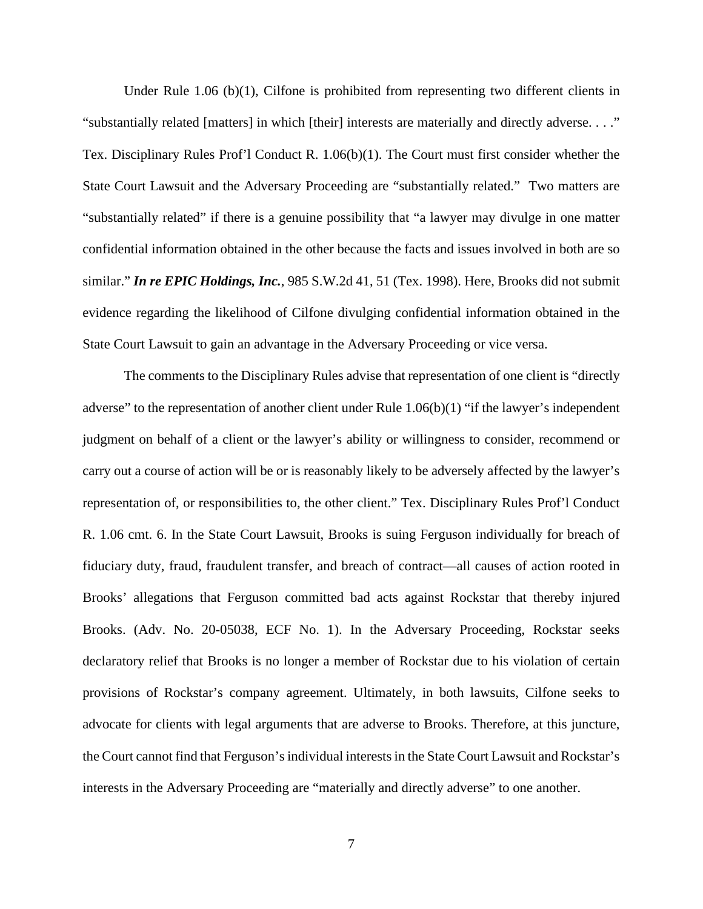Under Rule 1.06 (b)(1), Cilfone is prohibited from representing two different clients in "substantially related [matters] in which [their] interests are materially and directly adverse. . . ." Tex. Disciplinary Rules Prof'l Conduct R. 1.06(b)(1). The Court must first consider whether the State Court Lawsuit and the Adversary Proceeding are "substantially related." Two matters are "substantially related" if there is a genuine possibility that "a lawyer may divulge in one matter confidential information obtained in the other because the facts and issues involved in both are so similar." *In re EPIC Holdings, Inc.*, 985 S.W.2d 41, 51 (Tex. 1998). Here, Brooks did not submit evidence regarding the likelihood of Cilfone divulging confidential information obtained in the State Court Lawsuit to gain an advantage in the Adversary Proceeding or vice versa.

The comments to the Disciplinary Rules advise that representation of one client is "directly adverse" to the representation of another client under Rule 1.06(b)(1) "if the lawyer's independent judgment on behalf of a client or the lawyer's ability or willingness to consider, recommend or carry out a course of action will be or is reasonably likely to be adversely affected by the lawyer's representation of, or responsibilities to, the other client." Tex. Disciplinary Rules Prof'l Conduct R. 1.06 cmt. 6. In the State Court Lawsuit, Brooks is suing Ferguson individually for breach of fiduciary duty, fraud, fraudulent transfer, and breach of contract—all causes of action rooted in Brooks' allegations that Ferguson committed bad acts against Rockstar that thereby injured Brooks. (Adv. No. 20-05038, ECF No. 1). In the Adversary Proceeding, Rockstar seeks declaratory relief that Brooks is no longer a member of Rockstar due to his violation of certain provisions of Rockstar's company agreement. Ultimately, in both lawsuits, Cilfone seeks to advocate for clients with legal arguments that are adverse to Brooks. Therefore, at this juncture, the Court cannot find that Ferguson'sindividual interests in the State Court Lawsuit and Rockstar's interests in the Adversary Proceeding are "materially and directly adverse" to one another.